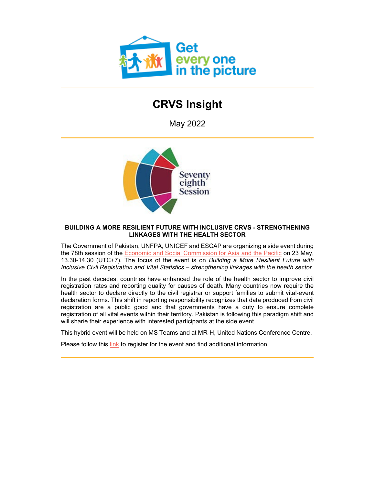

# **CRVS Insight**

May 2022



### **BUILDING A MORE RESILIENT FUTURE WITH INCLUSIVE CRVS - STRENGTHENING LINKAGES WITH THE HEALTH SECTOR**

The Government of Pakistan, UNFPA, UNICEF and ESCAP are organizing a side event during the 78th session of the [Economic and Social Commission for Asia and the Pacific](http://92ls.mjt.lu/lnk/AV4AACeRk7oAActrIS4AAAGMktAAAAAc02EAm3UOAAwLzQBifLOsZCx3zIG1RlKwbwNHHeANHgAMGNw/1/abdQeH99iqS2e7zeoYNZhg/aHR0cHM6Ly93d3cudW5lc2NhcC5vcmcvZXZlbnRzL2NvbW1pc3Npb243OA) on 23 May, 13.30-14.30 (UTC+7). The focus of the event is on *Building a More Resilient Future with Inclusive Civil Registration and Vital Statistics – strengthening linkages with the health sector.*

In the past decades, countries have enhanced the role of the health sector to improve civil registration rates and reporting quality for causes of death. Many countries now require the health sector to declare directly to the civil registrar or support families to submit vital-event declaration forms. This shift in reporting responsibility recognizes that data produced from civil registration are a public good and that governments have a duty to ensure complete registration of all vital events within their territory. Pakistan is following this paradigm shift and will sharie their experience with interested participants at the side event.

This hybrid event will be held on MS Teams and at MR-H, United Nations Conference Centre,

Please follow this [link](http://92ls.mjt.lu/lnk/AV4AACeRk7oAActrIS4AAAGMktAAAAAc02EAm3UOAAwLzQBifLOsZCx3zIG1RlKwbwNHHeANHgAMGNw/2/w_SdD_BRzdXWYZwMecMw6A/aHR0cHM6Ly9mb3Jtcy5vZmZpY2UuY29tL3BhZ2VzL3Jlc3BvbnNlcGFnZS5hc3B4P2lkPTJ6V2VEMDlVWUUtOXpGNmtGdWJjY0NiTVhMcEs5clJPal9xb3dIQk9uUTlVUVZsRlZqVkRRVXBJU3pWWVRGRkJWMHhKVjFjMlVFTktXUzR1) to register for the event and find additional information.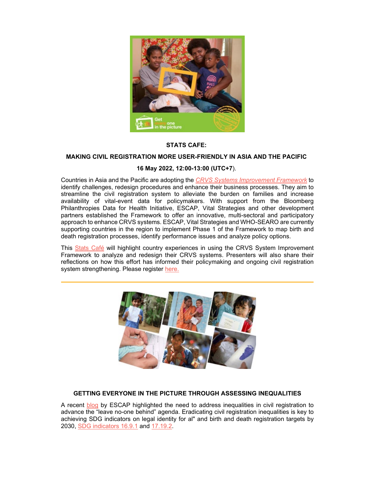

### **STATS CAFE:**

#### **MAKING CIVIL REGISTRATION MORE USER-FRIENDLY IN ASIA AND THE PACIFIC**

# **16 May 2022, 12:00-13:00 (UTC+7**).

Countries in Asia and the Pacific are adopting the *[CRVS Systems Improvement Framework](http://92ls.mjt.lu/lnk/AV4AACeRk7oAActrIS4AAAGMktAAAAAc02EAm3UOAAwLzQBifLOsZCx3zIG1RlKwbwNHHeANHgAMGNw/3/-IEdjR3px9CwJVzDCAfd6g/aHR0cHM6Ly9nZXRpbnRoZXBpY3R1cmUub3JnL3Jlc291cmNlL2NydnMtc3lzdGVtcy1pbXByb3ZlbWVudC1mcmFtZXdvcms)* to identify challenges, redesign procedures and enhance their business processes. They aim to streamline the civil registration system to alleviate the burden on families and increase availability of vital-event data for policymakers. With support from the Bloomberg Philanthropies Data for Health Initiative, ESCAP, Vital Strategies and other development partners established the Framework to offer an innovative, multi-sectoral and participatory approach to enhance CRVS systems. ESCAP, Vital Strategies and WHO-SEARO are currently supporting countries in the region to implement Phase 1 of the Framework to map birth and death registration processes, identify performance issues and analyze policy options.

This [Stats Café](http://92ls.mjt.lu/lnk/AV4AACeRk7oAActrIS4AAAGMktAAAAAc02EAm3UOAAwLzQBifLOsZCx3zIG1RlKwbwNHHeANHgAMGNw/4/fK-zto3uQ_FeAQtKJQ0LZg/aHR0cHM6Ly93d3cudW5lc2NhcC5vcmcvb3VyLXdvcmsvc3RhdGlzdGljcy9zdGF0cy1jYWZl) will highlight country experiences in using the CRVS System Improvement Framework to analyze and redesign their CRVS systems. Presenters will also share their reflections on how this effort has informed their policymaking and ongoing civil registration system strengthening. Please register [here.](http://92ls.mjt.lu/lnk/AV4AACeRk7oAActrIS4AAAGMktAAAAAc02EAm3UOAAwLzQBifLOsZCx3zIG1RlKwbwNHHeANHgAMGNw/5/gvX7VkgmeEjSjg3Bn7yI8g/aHR0cHM6Ly9mb3Jtcy5vZmZpY2UuY29tL3BhZ2VzL3Jlc3BvbnNlcGFnZS5hc3B4P2lkPTJ6V2VEMDlVWUUtOXpGNmtGdWJjY0NiTVhMcEs5clJPal9xb3dIQk9uUTlVTTFsWFdrMWFWazh6TkU1TFVrRktVa0ZKUVZCVVQwVkVSUzR1)



#### **GETTING EVERYONE IN THE PICTURE THROUGH ASSESSING INEQUALITIES**

A recent [blog](http://92ls.mjt.lu/lnk/AV4AACeRk7oAActrIS4AAAGMktAAAAAc02EAm3UOAAwLzQBifLOsZCx3zIG1RlKwbwNHHeANHgAMGNw/6/0wE2OdvE6-GnhSLxfVOL8Q/aHR0cHM6Ly93d3cudW5lc2NhcC5vcmcvYmxvZy9nZXR0aW5nLWV2ZXJ5b25lLXBpY3R1cmUtdGhyb3VnaC1hc3Nlc3NpbmctaW5lcXVhbGl0aWVz) by ESCAP highlighted the need to address inequalities in civil registration to advance the "leave no-one behind" agenda. Eradicating civil registration inequalities is key to achieving SDG indicators on legal identity for al" and birth and death registration targets by 2030, [SDG indicators 16.9.](http://92ls.mjt.lu/lnk/AV4AACeRk7oAActrIS4AAAGMktAAAAAc02EAm3UOAAwLzQBifLOsZCx3zIG1RlKwbwNHHeANHgAMGNw/7/oCh2b9JUrHdHagr09zqK3g/aHR0cHM6Ly91bnN0YXRzLnVuLm9yZy9zZGdzL21ldGFkYXRhLz9UZXh0PSZHb2FsPTE2JlRhcmdldD0xNi45Izp-OnRleHQ9UHJvbW90ZSUyMHBlYWNlZnVsJTIwYW5kJTIwaW5jbHVzaXZlJTIwc29jaWV0aWVzLGluY2x1c2l2ZSUyMGluc3RpdHV0aW9ucyUyMGF0JTIwYWxsJTIwbGV2ZWxz#:%7E:text=Promote%20peaceful%20and%20inclusive%20societies,inclusive%20institutions%20at%20all%20levels)1 and [17.19.2.](http://92ls.mjt.lu/lnk/AV4AACeRk7oAActrIS4AAAGMktAAAAAc02EAm3UOAAwLzQBifLOsZCx3zIG1RlKwbwNHHeANHgAMGNw/8/Yc-JwNycrQ1QAHUuP4D_lQ/aHR0cHM6Ly91bnN0YXRzLnVuLm9yZy9zZGdzL21ldGFkYXRhLz9UZXh0PSZHb2FsPTE3JlRhcmdldD0xNy4xOQ)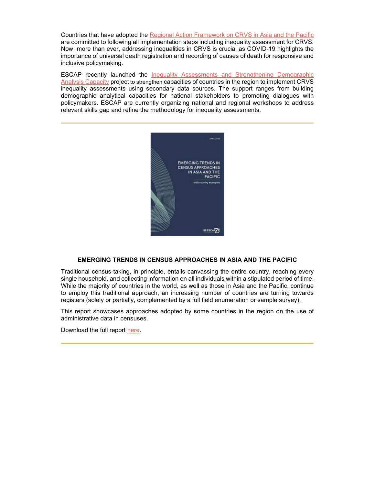Countries that have adopted the [Regional Action Framework on CRVS in Asia and the Pacific](http://92ls.mjt.lu/lnk/AV4AACeRk7oAActrIS4AAAGMktAAAAAc02EAm3UOAAwLzQBifLOsZCx3zIG1RlKwbwNHHeANHgAMGNw/9/Fs8hEwbRT3fwDUVbG1YbKQ/aHR0cHM6Ly9nZXRpbnRoZXBpY3R1cmUub3JnL3NpdGVzL2RlZmF1bHQvZmlsZXMvcmVzb3VyY2VzL1JlZ2lvbmFsJTIwQWN0aW9uJTIwRnJhbWV3b3JrJTIwb24lMjBDaXZpbCUyMFJlZ2lzdHJhdGlvbiUyMGFuZCUyMFZpdGFsJTIwU3RhdGlzdGljcyUyMGluJTIwQXNpYSUyMGFuZCUyMHRoZSUyMFBhY2lmaWNfMF8wLnBkZg) are committed to following all implementation steps including inequality assessment for CRVS. Now, more than ever, addressing inequalities in CRVS is crucial as COVID-19 highlights the importance of universal death registration and recording of causes of death for responsive and inclusive policymaking.

ESCAP recently launched the [Inequality Assessments and Strengthening Demographic](http://92ls.mjt.lu/lnk/AV4AACeRk7oAActrIS4AAAGMktAAAAAc02EAm3UOAAwLzQBifLOsZCx3zIG1RlKwbwNHHeANHgAMGNw/10/vAqD4DIdvb6e8wColMjb9w/aHR0cHM6Ly93d3cudW5lc2NhcC5vcmcvcHJvamVjdHMvaW5lcXVhbGl0eS1hc3Nlc3NtZW50cw)  [Analysis Capacity](http://92ls.mjt.lu/lnk/AV4AACeRk7oAActrIS4AAAGMktAAAAAc02EAm3UOAAwLzQBifLOsZCx3zIG1RlKwbwNHHeANHgAMGNw/10/vAqD4DIdvb6e8wColMjb9w/aHR0cHM6Ly93d3cudW5lc2NhcC5vcmcvcHJvamVjdHMvaW5lcXVhbGl0eS1hc3Nlc3NtZW50cw) project to strengthen capacities of countries in the region to implement CRVS inequality assessments using secondary data sources. The support ranges from building demographic analytical capacities for national stakeholders to promoting dialogues with policymakers. ESCAP are currently organizing national and regional workshops to address relevant skills gap and refine the methodology for inequality assessments.



#### **EMERGING TRENDS IN CENSUS APPROACHES IN ASIA AND THE PACIFIC**

Traditional census-taking, in principle, entails canvassing the entire country, reaching every single household, and collecting information on all individuals within a stipulated period of time. While the majority of countries in the world, as well as those in Asia and the Pacific, continue to employ this traditional approach, an increasing number of countries are turning towards registers (solely or partially, complemented by a full field enumeration or sample survey).

This report showcases approaches adopted by some countries in the region on the use of administrative data in censuses.

Download the full report [here.](http://92ls.mjt.lu/lnk/AV4AACeRk7oAActrIS4AAAGMktAAAAAc02EAm3UOAAwLzQBifLOsZCx3zIG1RlKwbwNHHeANHgAMGNw/11/ywDATTFALVmjvny3b_MHYw/aHR0cHM6Ly93d3cudW5lc2NhcC5vcmcvc2l0ZXMvZGVmYXVsdC9kOGZpbGVzL2tub3dsZWRnZS1wcm9kdWN0cy9FU0NBUC0yMDIyLVJQX0VtZXJnaW5nX1RyZW5kc19pbl9DZW5zdXNfQXBwcm9hY2hlc19pbl9Bc2lhLVBhY2lmaWMucGRm)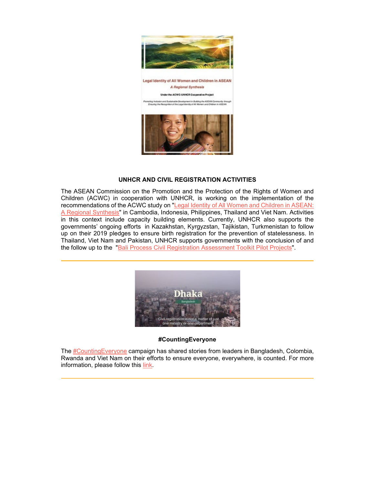

ent in Building the ASEAN I<br>Hilly of All Women and Child



#### **UNHCR AND CIVIL REGISTRATION ACTIVITIES**

The ASEAN Commission on the Promotion and the Protection of the Rights of Women and Children (ACWC) in cooperation with UNHCR, is working on the implementation of the recommendations of the ACWC study on ["Legal Identity of All Women and Children in ASEAN:](http://92ls.mjt.lu/lnk/AV4AACeRk7oAActrIS4AAAGMktAAAAAc02EAm3UOAAwLzQBifLOsZCx3zIG1RlKwbwNHHeANHgAMGNw/12/CLxSc4ACQTi33ihMHcvcJg/aHR0cHM6Ly9nZXRpbnRoZXBpY3R1cmUub3JnL25ld3MvbGVnYWwtaWRlbnRpdHktYWxsLXdvbWVuLWFuZC1jaGlsZHJlbi1hc2Vhbi1hY3djLXJlcG9ydC1sYXVuY2gtYW5kLXBhbmVsLWRpc2N1c3Npb24)  [A Regional Synthesis"](http://92ls.mjt.lu/lnk/AV4AACeRk7oAActrIS4AAAGMktAAAAAc02EAm3UOAAwLzQBifLOsZCx3zIG1RlKwbwNHHeANHgAMGNw/12/CLxSc4ACQTi33ihMHcvcJg/aHR0cHM6Ly9nZXRpbnRoZXBpY3R1cmUub3JnL25ld3MvbGVnYWwtaWRlbnRpdHktYWxsLXdvbWVuLWFuZC1jaGlsZHJlbi1hc2Vhbi1hY3djLXJlcG9ydC1sYXVuY2gtYW5kLXBhbmVsLWRpc2N1c3Npb24) in Cambodia, Indonesia, Philippines, Thailand and Viet Nam. Activities in this context include capacity building elements. Currently, UNHCR also supports the governments' ongoing efforts in Kazakhstan, Kyrgyzstan, Tajikistan, Turkmenistan to follow up on their 2019 pledges to ensure birth registration for the prevention of statelessness. In Thailand, Viet Nam and Pakistan, UNHCR supports governments with the conclusion of and the follow up to the ["Bali Process Civil Registration Assessment Toolkit Pilot Projects"](http://92ls.mjt.lu/lnk/AV4AACeRk7oAActrIS4AAAGMktAAAAAc02EAm3UOAAwLzQBifLOsZCx3zIG1RlKwbwNHHeANHgAMGNw/13/Z7Bun9sptAWzuhuoRK1f_w/aHR0cHM6Ly9nZXRpbnRoZXBpY3R1cmUub3JnL3Jlc291cmNlL2JhbGktcHJvY2Vzcy1jaXZpbC1yZWdpc3RyYXRpb24tYXNzZXNzbWVudC10b29sa2l0).



#### **#CountingEveryone**

The [#CountingEveryone](http://92ls.mjt.lu/lnk/AV4AACeRk7oAActrIS4AAAGMktAAAAAc02EAm3UOAAwLzQBifLOsZCx3zIG1RlKwbwNHHeANHgAMGNw/14/KVgrq1kbZu7ATc4yLmReKw/aHR0cHM6Ly90d2l0dGVyLmNvbS92aXRhbHN0cmF0L3N0YXR1cy8xNTIxNTU2NTY2MjEzODk0MTQ0P3M9MTImdD1tUGphXzAxd1E3SDFaRHpaM1FoVVJ3) campaign has shared stories from leaders in Bangladesh, Colombia, Rwanda and Viet Nam on their efforts to ensure everyone, everywhere, is counted. For more information, please follow this [link.](http://92ls.mjt.lu/lnk/AV4AACeRk7oAActrIS4AAAGMktAAAAAc02EAm3UOAAwLzQBifLOsZCx3zIG1RlKwbwNHHeANHgAMGNw/15/DHij990xp7Es13vwwS8sYw/aHR0cHM6Ly93d3cudml0YWxzdHJhdGVnaWVzLm9yZy9hcy1jb3ZpZC0xOS11bmRlcnNjb3Jlcy1oYXJtcy1vZi1saW1pdGVkLWRhdGEtY291bnRpbmdldmVyeW9uZS1jYW1wYWlnbi1jcmVhdGVzLW1vbWVudHVtLXRvd2FyZHMtY2hhbmdlLw)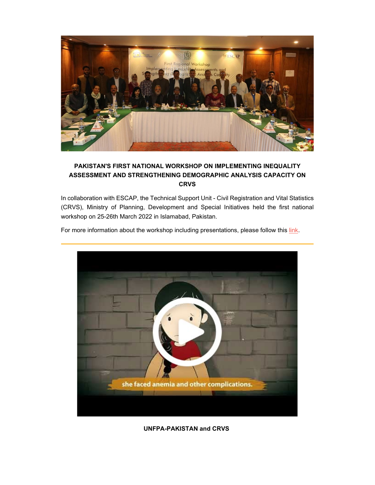

# **PAKISTAN'S FIRST NATIONAL WORKSHOP ON IMPLEMENTING INEQUALITY ASSESSMENT AND STRENGTHENING DEMOGRAPHIC ANALYSIS CAPACITY ON CRVS**

In collaboration with ESCAP, the Technical Support Unit - Civil Registration and Vital Statistics (CRVS), Ministry of Planning, Development and Special Initiatives held the first national workshop on 25-26th March 2022 in Islamabad, Pakistan.



For more information about the workshop including presentations, please follow this [link.](http://92ls.mjt.lu/lnk/AV4AACeRk7oAActrIS4AAAGMktAAAAAc02EAm3UOAAwLzQBifLOsZCx3zIG1RlKwbwNHHeANHgAMGNw/16/r9jkncltwZdST22kzEu5GQ/aHR0cHM6Ly93d3cudW5lc2NhcC5vcmcvZXZlbnRzLzIwMjIvZmlyc3QtbmF0aW9uYWwtd29ya3Nob3AtaW1wbGVtZW50aW5nLWluZXF1YWxpdHktYXNzZXNzbWVudC1hbmQtc3RyZW5ndGhlbmluZw)

**UNFPA-PAKISTAN and CRVS**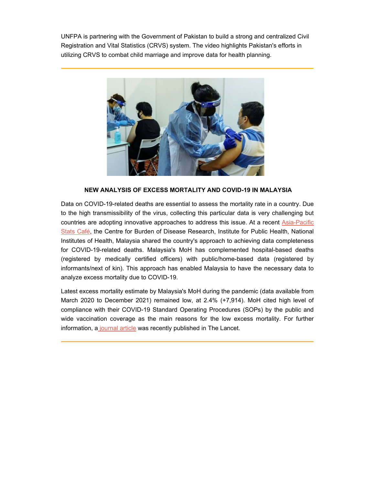UNFPA is partnering with the Government of Pakistan to build a strong and centralized Civil Registration and Vital Statistics (CRVS) system. The video highlights Pakistan's efforts in utilizing CRVS to combat child marriage and improve data for health planning.



### **NEW ANALYSIS OF EXCESS MORTALITY AND COVID-19 IN MALAYSIA**

Data on COVID-19-related deaths are essential to assess the mortality rate in a country. Due to the high transmissibility of the virus, collecting this particular data is very challenging but countries are adopting innovative approaches to address this issue. At a recent **Asia-Pacific** [Stats Café,](http://92ls.mjt.lu/lnk/AV4AACeRk7oAActrIS4AAAGMktAAAAAc02EAm3UOAAwLzQBifLOsZCx3zIG1RlKwbwNHHeANHgAMGNw/18/-Lb2FQqcV-zTkssudnJquw/aHR0cHM6Ly93d3cudW5lc2NhcC5vcmcvZXZlbnRzLzIwMjIvYXNpYS1wYWNpZmljLXN0YXRzLWNhZmUtc2VyaWVzLWV4Y2Vzcy1tb3J0YWxpdHktYW5kLWltcG9ydGFuY2UtZGF0YS1maWdodC1hZ2FpbnN0LWNvdmlkIw) the Centre for Burden of Disease Research, Institute for Public Health, National Institutes of Health, Malaysia shared the country's approach to achieving data completeness for COVID-19-related deaths. Malaysia's MoH has complemented hospital-based deaths (registered by medically certified officers) with public/home-based data (registered by informants/next of kin). This approach has enabled Malaysia to have the necessary data to analyze excess mortality due to COVID-19.

Latest excess mortality estimate by Malaysia's MoH during the pandemic (data available from March 2020 to December 2021) remained low, at 2.4% (+7,914). MoH cited high level of compliance with their COVID-19 Standard Operating Procedures (SOPs) by the public and wide vaccination coverage as the main reasons for the low excess mortality. For further information, a [journal article](http://92ls.mjt.lu/lnk/AV4AACeRk7oAActrIS4AAAGMktAAAAAc02EAm3UOAAwLzQBifLOsZCx3zIG1RlKwbwNHHeANHgAMGNw/19/Ft22lq2o8Pj1SKHK9L7yZg/aHR0cHM6Ly93d3cudGhlbGFuY2V0LmNvbS9qb3VybmFscy9sYW53cGMvYXJ0aWNsZS9QSUlTMjY2Ni02MDY1KDIyKTAwMDcxLTIvZnVsbHRleHQ) was recently published in The Lancet.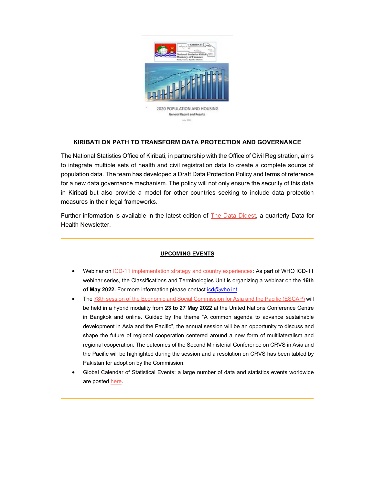

# **KIRIBATI ON PATH TO TRANSFORM DATA PROTECTION AND GOVERNANCE**

July, 2021

The National Statistics Office of Kiribati, in partnership with the Office of Civil Registration, aims to integrate multiple sets of health and civil registration data to create a complete source of population data. The team has developed a Draft Data Protection Policy and terms of reference for a new data governance mechanism. The policy will not only ensure the security of this data in Kiribati but also provide a model for other countries seeking to include data protection measures in their legal frameworks.

Further information is available in the latest edition of **The Data Digest**, a quarterly Data for Health Newsletter.

#### **UPCOMING EVENTS**

- Webinar on [ICD-11 implementation strategy and country experiences:](http://92ls.mjt.lu/lnk/AV4AACeRk7oAActrIS4AAAGMktAAAAAc02EAm3UOAAwLzQBifLOsZCx3zIG1RlKwbwNHHeANHgAMGNw/21/f9Sj2xRNLKXCZobsaP4vEQ/aHR0cHM6Ly93d3cubGlua2VkaW4uY29tL2V2ZW50cy93ZWJpbmFyb25pY2QtMTFpbXBsZW1lbnRhdGlvbnN0NjkyNDQwNDE2MTc5OTIyNTM0NC8) As part of WHO ICD-11 webinar series, the Classifications and Terminologies Unit is organizing a webinar on the **16th**  of May 2022. For more information please contact icd@who.int.
- Th[e 78th session of the Economic and Social Commission for Asia and the Pacific \(ESCAP\)](http://92ls.mjt.lu/lnk/AV4AACeRk7oAActrIS4AAAGMktAAAAAc02EAm3UOAAwLzQBifLOsZCx3zIG1RlKwbwNHHeANHgAMGNw/22/lwB2SGinQVTJnxy1Vz_aiQ/aHR0cHM6Ly93d3cudW5lc2NhcC5vcmcvZXZlbnRzL2NvbW1pc3Npb243OCM6fjp0ZXh0PVRoZSUyMDc4dGglMjBzZXNzaW9uJTIwb2YlMjB0aGUsb2YlMjBNb25kYXklMkMlMjAyMyUyME1heSUyMDIwMjIu#:%7E:text=The%2078th%20session%20of%20the,of%20Monday%2C%2023%20May%202022.) will be held in a hybrid modality from **23 to 27 May 2022** at the United Nations Conference Centre in Bangkok and online. Guided by the theme "A common agenda to advance sustainable development in Asia and the Pacific", the annual session will be an opportunity to discuss and shape the future of regional cooperation centered around a new form of multilateralism and regional cooperation. The outcomes of the Second Ministerial Conference on CRVS in Asia and the Pacific will be highlighted during the session and a resolution on CRVS has been tabled by Pakistan for adoption by the Commission.
- Global Calendar of Statistical Events: a large number of data and statistics events worldwide are poste[d here.](http://92ls.mjt.lu/lnk/AV4AACeRk7oAActrIS4AAAGMktAAAAAc02EAm3UOAAwLzQBifLOsZCx3zIG1RlKwbwNHHeANHgAMGNw/23/kKk3TFMug0ZtzalcNEtF-w/aHR0cHM6Ly91bnN0YXRzLnVuLm9yZy9jYXBhY2l0eS1kZXZlbG9wbWVudC9jYWxlbmRhci9hbGwtZXZlbnRzLw)